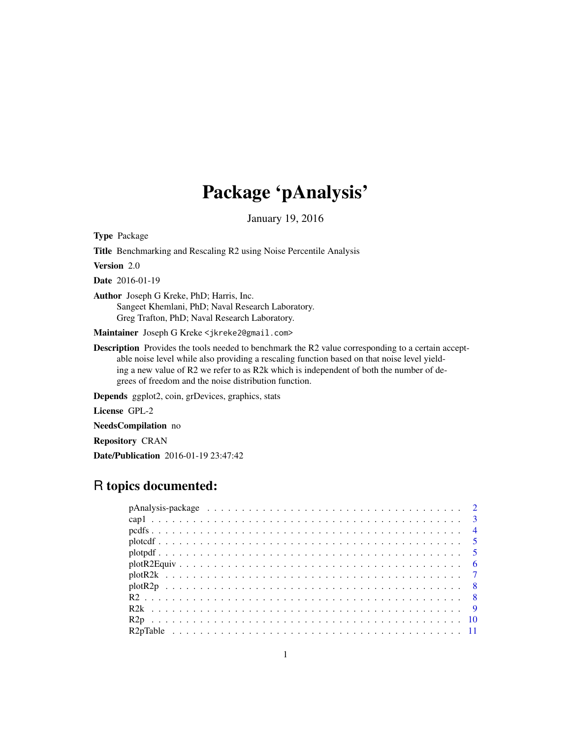# Package 'pAnalysis'

January 19, 2016

Type Package

Title Benchmarking and Rescaling R2 using Noise Percentile Analysis

Version 2.0

Date 2016-01-19

Author Joseph G Kreke, PhD; Harris, Inc. Sangeet Khemlani, PhD; Naval Research Laboratory. Greg Trafton, PhD; Naval Research Laboratory.

Maintainer Joseph G Kreke <jkreke2@gmail.com>

Description Provides the tools needed to benchmark the R2 value corresponding to a certain acceptable noise level while also providing a rescaling function based on that noise level yielding a new value of R2 we refer to as R2k which is independent of both the number of degrees of freedom and the noise distribution function.

Depends ggplot2, coin, grDevices, graphics, stats

License GPL-2

NeedsCompilation no

Repository CRAN

Date/Publication 2016-01-19 23:47:42

## R topics documented: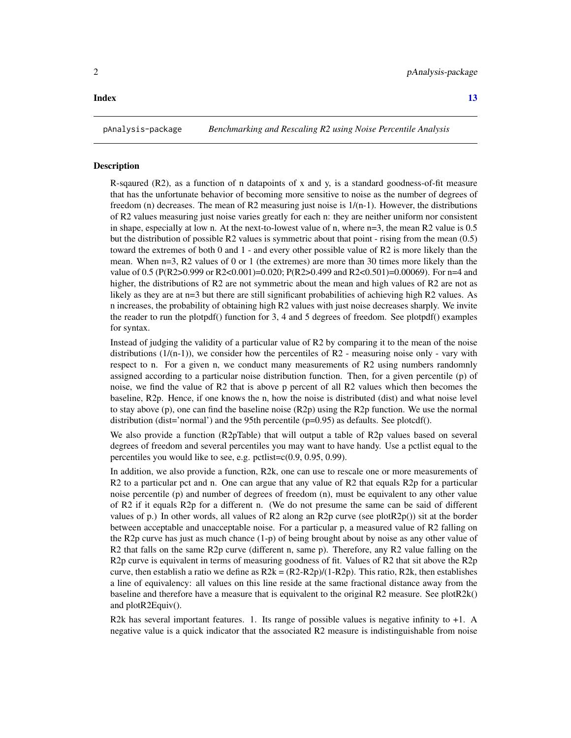#### <span id="page-1-0"></span>**Index** [13](#page-12-0)

#### Description

R-sqaured  $(R2)$ , as a function of n datapoints of x and y, is a standard goodness-of-fit measure that has the unfortunate behavior of becoming more sensitive to noise as the number of degrees of freedom (n) decreases. The mean of R2 measuring just noise is  $1/(n-1)$ . However, the distributions of R2 values measuring just noise varies greatly for each n: they are neither uniform nor consistent in shape, especially at low n. At the next-to-lowest value of n, where n=3, the mean R2 value is 0.5 but the distribution of possible R2 values is symmetric about that point - rising from the mean (0.5) toward the extremes of both 0 and 1 - and every other possible value of R2 is more likely than the mean. When  $n=3$ , R2 values of 0 or 1 (the extremes) are more than 30 times more likely than the value of 0.5 (P(R2>0.999 or R2<0.001)=0.020; P(R2>0.499 and R2<0.501)=0.00069). For n=4 and higher, the distributions of R2 are not symmetric about the mean and high values of R2 are not as likely as they are at n=3 but there are still significant probabilities of achieving high R2 values. As n increases, the probability of obtaining high R2 values with just noise decreases sharply. We invite the reader to run the plotpdf() function for 3, 4 and 5 degrees of freedom. See plotpdf() examples for syntax.

Instead of judging the validity of a particular value of R2 by comparing it to the mean of the noise distributions  $(1/(n-1))$ , we consider how the percentiles of R2 - measuring noise only - vary with respect to n. For a given n, we conduct many measurements of R2 using numbers randomnly assigned according to a particular noise distribution function. Then, for a given percentile (p) of noise, we find the value of R2 that is above p percent of all R2 values which then becomes the baseline, R2p. Hence, if one knows the n, how the noise is distributed (dist) and what noise level to stay above (p), one can find the baseline noise (R2p) using the R2p function. We use the normal distribution (dist='normal') and the 95th percentile (p=0.95) as defaults. See plotcdf().

We also provide a function (R2pTable) that will output a table of R2p values based on several degrees of freedom and several percentiles you may want to have handy. Use a pctlist equal to the percentiles you would like to see, e.g. pctlist=c(0.9, 0.95, 0.99).

In addition, we also provide a function, R2k, one can use to rescale one or more measurements of R2 to a particular pct and n. One can argue that any value of R2 that equals R2p for a particular noise percentile (p) and number of degrees of freedom (n), must be equivalent to any other value of R2 if it equals R2p for a different n. (We do not presume the same can be said of different values of p.) In other words, all values of R2 along an R2p curve (see plotR2p()) sit at the border between acceptable and unacceptable noise. For a particular p, a measured value of R2 falling on the R2p curve has just as much chance (1-p) of being brought about by noise as any other value of R2 that falls on the same R2p curve (different n, same p). Therefore, any R2 value falling on the R2p curve is equivalent in terms of measuring goodness of fit. Values of R2 that sit above the R2p curve, then establish a ratio we define as  $R2k = (R2-R2p)/(1-R2p)$ . This ratio,  $R2k$ , then establishes a line of equivalency: all values on this line reside at the same fractional distance away from the baseline and therefore have a measure that is equivalent to the original R2 measure. See plotR2k() and plotR2Equiv().

R2k has several important features. 1. Its range of possible values is negative infinity to  $+1$ . A negative value is a quick indicator that the associated R2 measure is indistinguishable from noise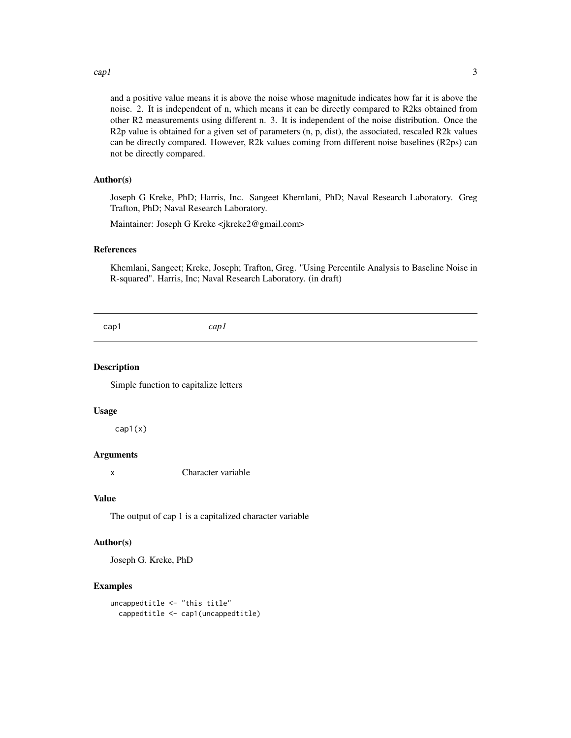#### <span id="page-2-0"></span> $cap1$  3

and a positive value means it is above the noise whose magnitude indicates how far it is above the noise. 2. It is independent of n, which means it can be directly compared to R2ks obtained from other R2 measurements using different n. 3. It is independent of the noise distribution. Once the  $R2p$  value is obtained for a given set of parameters  $(n, p, dist)$ , the associated, rescaled R2k values can be directly compared. However, R2k values coming from different noise baselines (R2ps) can not be directly compared.

#### Author(s)

Joseph G Kreke, PhD; Harris, Inc. Sangeet Khemlani, PhD; Naval Research Laboratory. Greg Trafton, PhD; Naval Research Laboratory.

Maintainer: Joseph G Kreke <jkreke2@gmail.com>

#### References

Khemlani, Sangeet; Kreke, Joseph; Trafton, Greg. "Using Percentile Analysis to Baseline Noise in R-squared". Harris, Inc; Naval Research Laboratory. (in draft)

| cap1 |
|------|
|------|

#### Description

Simple function to capitalize letters

#### Usage

cap1(x)

#### Arguments

x Character variable

#### Value

The output of cap 1 is a capitalized character variable

#### Author(s)

Joseph G. Kreke, PhD

#### Examples

```
uncappedtitle <- "this title"
 cappedtitle <- cap1(uncappedtitle)
```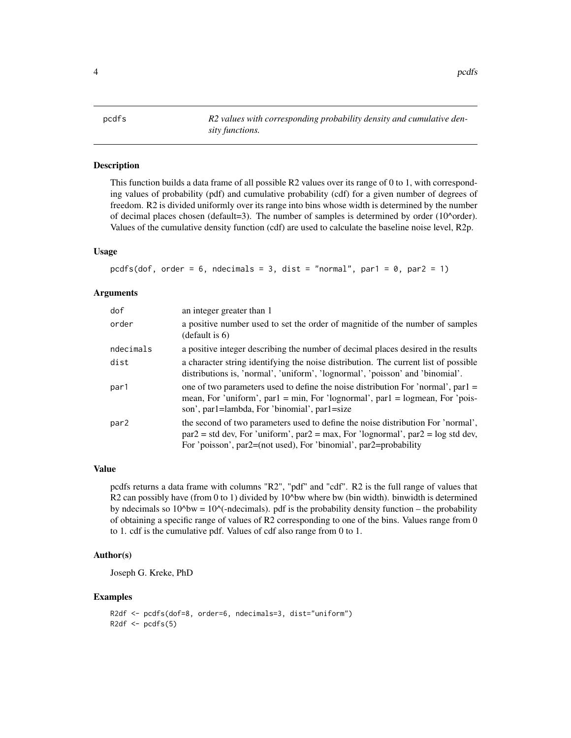<span id="page-3-0"></span>4 pcdfs and the contract of the contract of the contract of the contract of the contract of the contract of the contract of the contract of the contract of the contract of the contract of the contract of the contract of th

pcdfs *R2 values with corresponding probability density and cumulative density functions.*

#### Description

This function builds a data frame of all possible R2 values over its range of 0 to 1, with corresponding values of probability (pdf) and cumulative probability (cdf) for a given number of degrees of freedom. R2 is divided uniformly over its range into bins whose width is determined by the number of decimal places chosen (default=3). The number of samples is determined by order  $(10<sup>o</sup> \text{order})$ . Values of the cumulative density function (cdf) are used to calculate the baseline noise level, R2p.

#### Usage

```
pcdfs(dof, order = 6, ndecimals = 3, dist = "normal", par1 = 0, par2 = 1)
```
#### **Arguments**

| dof              | an integer greater than 1                                                                                                                                                                                                                        |
|------------------|--------------------------------------------------------------------------------------------------------------------------------------------------------------------------------------------------------------------------------------------------|
| order            | a positive number used to set the order of magnitide of the number of samples<br>(detault is 6)                                                                                                                                                  |
| ndecimals        | a positive integer describing the number of decimal places desired in the results                                                                                                                                                                |
| dist             | a character string identifying the noise distribution. The current list of possible<br>distributions is, 'normal', 'uniform', 'lognormal', 'poisson' and 'binomial'.                                                                             |
| par1             | one of two parameters used to define the noise distribution For 'normal', par $1 =$<br>mean, For 'uniform', par $l = min$ , For 'lognormal', par $l = logmean$ , For 'pois-<br>son', par 1 = lambda, For 'binomial', par 1 = size                |
| par <sub>2</sub> | the second of two parameters used to define the noise distribution For 'normal',<br>$par2 = std dev$ , For 'uniform', $par2 = max$ , For 'lognormal', $par2 = log std dev$ ,<br>For 'poisson', par2=(not used), For 'binomial', par2=probability |

#### Value

pcdfs returns a data frame with columns "R2", "pdf" and "cdf". R2 is the full range of values that R2 can possibly have (from 0 to 1) divided by  $10^{\text{A}}$  bw where bw (bin width). binwidth is determined by ndecimals so  $10^{\text{A}}$  by  $= 10^{\text{A}}$  -ndecimals). pdf is the probability density function – the probability of obtaining a specific range of values of R2 corresponding to one of the bins. Values range from 0 to 1. cdf is the cumulative pdf. Values of cdf also range from 0 to 1.

#### Author(s)

Joseph G. Kreke, PhD

#### Examples

```
R2df <- pcdfs(dof=8, order=6, ndecimals=3, dist="uniform")
R2df \leftarrow pcdfs(5)
```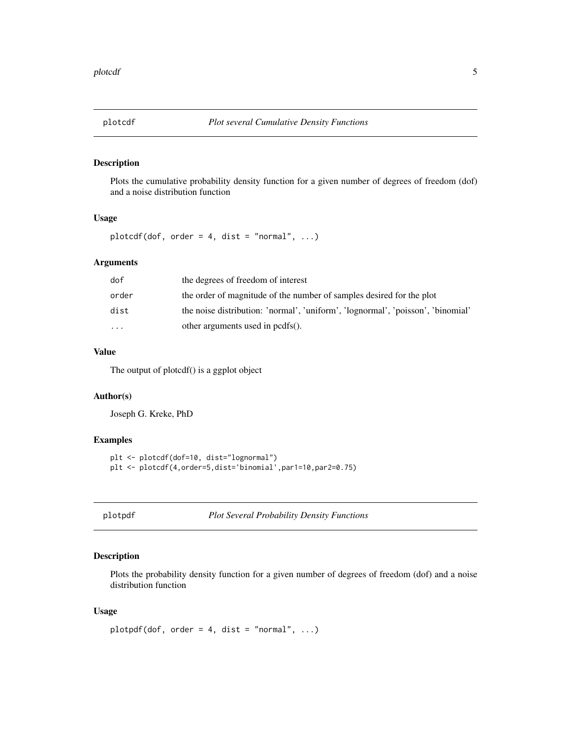<span id="page-4-0"></span>

#### Description

Plots the cumulative probability density function for a given number of degrees of freedom (dof) and a noise distribution function

#### Usage

plotcdf(dof, order = 4, dist = "normal",  $\ldots$ )

#### Arguments

| dof       | the degrees of freedom of interest                                              |
|-----------|---------------------------------------------------------------------------------|
| order     | the order of magnitude of the number of samples desired for the plot            |
| dist      | the noise distribution: 'normal', 'uniform', 'lognormal', 'poisson', 'binomial' |
| $\ddotsc$ | other arguments used in pcdfs().                                                |

#### Value

The output of plotcdf() is a ggplot object

#### Author(s)

Joseph G. Kreke, PhD

#### Examples

```
plt <- plotcdf(dof=10, dist="lognormal")
plt <- plotcdf(4,order=5,dist='binomial',par1=10,par2=0.75)
```
plotpdf *Plot Several Probability Density Functions*

#### Description

Plots the probability density function for a given number of degrees of freedom (dof) and a noise distribution function

#### Usage

```
plotpdf(dof, order = 4, dist = "normal", \ldots)
```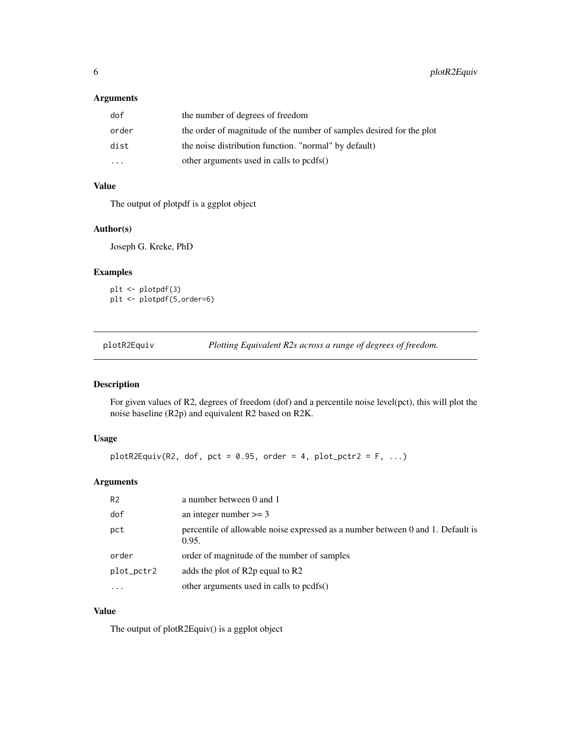#### <span id="page-5-0"></span>Arguments

| dof                     | the number of degrees of freedom                                     |
|-------------------------|----------------------------------------------------------------------|
| order                   | the order of magnitude of the number of samples desired for the plot |
| dist                    | the noise distribution function. "normal" by default)                |
| $\cdot$ $\cdot$ $\cdot$ | other arguments used in calls to pcdfs()                             |

#### Value

The output of plotpdf is a ggplot object

#### Author(s)

Joseph G. Kreke, PhD

#### Examples

```
plt <- plotpdf(3)
plt <- plotpdf(5,order=6)
```
plotR2Equiv *Plotting Equivalent R2s across a range of degrees of freedom.*

#### Description

For given values of R2, degrees of freedom (dof) and a percentile noise level(pct), this will plot the noise baseline (R2p) and equivalent R2 based on R2K.

#### Usage

```
plotR2Equiv(R2, dof, pot = 0.95, order = 4, plot_pctr2 = F, ...)
```
#### Arguments

| R <sub>2</sub> | a number between 0 and 1                                                                 |
|----------------|------------------------------------------------------------------------------------------|
| dof            | an integer number $>= 3$                                                                 |
| pct            | percentile of allowable noise expressed as a number between 0 and 1. Default is<br>0.95. |
| order          | order of magnitude of the number of samples                                              |
| plot_pctr2     | adds the plot of R2p equal to R2                                                         |
| $\cdot$        | other arguments used in calls to pcdfs()                                                 |

### Value

The output of plotR2Equiv() is a ggplot object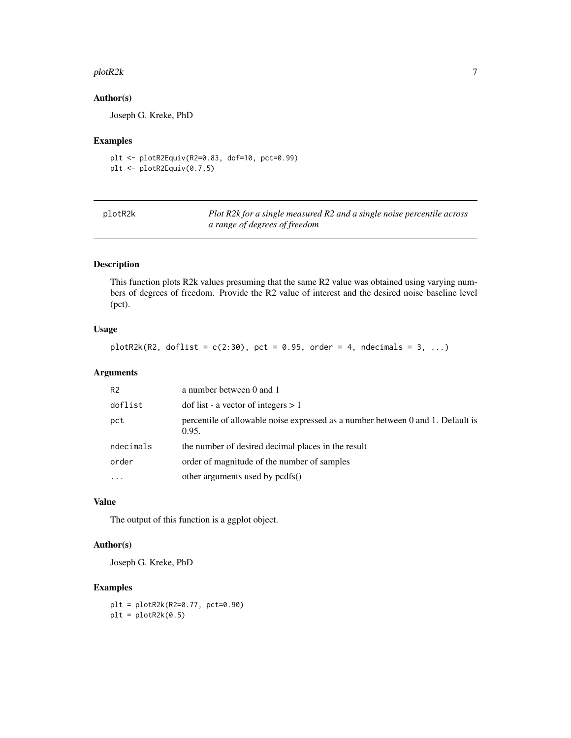#### <span id="page-6-0"></span>plotR2k 2008 and 2008 and 2008 and 2008 and 2008 and 2008 and 2008 and 2008 and 2008 and 2008 and 2008 and 200

#### Author(s)

Joseph G. Kreke, PhD

#### Examples

```
plt <- plotR2Equiv(R2=0.83, dof=10, pct=0.99)
plt <- plotR2Equiv(0.7,5)
```

| plotR2k |  |
|---------|--|
|---------|--|

plotR2k *Plot R2k for a single measured R2 and a single noise percentile across a range of degrees of freedom*

#### Description

This function plots R2k values presuming that the same R2 value was obtained using varying numbers of degrees of freedom. Provide the R2 value of interest and the desired noise baseline level (pct).

#### Usage

plotR2k(R2, doflist =  $c(2:30)$ , pct = 0.95, order = 4, ndecimals = 3, ...)

#### Arguments

| R <sub>2</sub> | a number between 0 and 1                                                                 |
|----------------|------------------------------------------------------------------------------------------|
| doflist        | dof list - a vector of integers $> 1$                                                    |
| pct            | percentile of allowable noise expressed as a number between 0 and 1. Default is<br>0.95. |
| ndecimals      | the number of desired decimal places in the result                                       |
| order          | order of magnitude of the number of samples                                              |
|                | other arguments used by pcdfs()                                                          |

#### Value

The output of this function is a ggplot object.

#### Author(s)

Joseph G. Kreke, PhD

#### Examples

plt = plotR2k(R2=0.77, pct=0.90)  $plt = plotR2k(0.5)$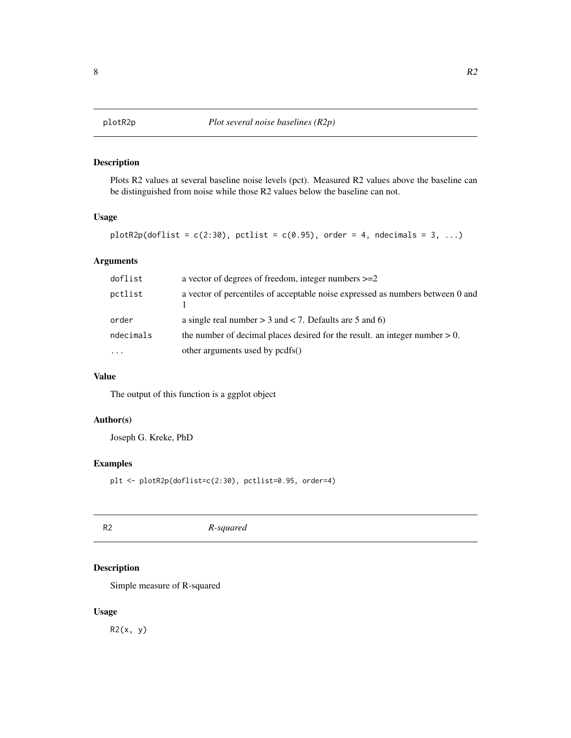#### <span id="page-7-0"></span>Description

Plots R2 values at several baseline noise levels (pct). Measured R2 values above the baseline can be distinguished from noise while those R2 values below the baseline can not.

#### Usage

```
plotR2p(doflist = c(2:30), pctlist = c(0.95), order = 4, ndecimals = 3, ...)
```
#### Arguments

| doflist   | a vector of degrees of freedom, integer numbers $>=2$                          |
|-----------|--------------------------------------------------------------------------------|
| pctlist   | a vector of percentiles of acceptable noise expressed as numbers between 0 and |
| order     | a single real number $> 3$ and $< 7$ . Defaults are 5 and 6)                   |
| ndecimals | the number of decimal places desired for the result. an integer number $> 0$ . |
| $\cdots$  | other arguments used by pcdfs()                                                |

#### Value

The output of this function is a ggplot object

#### Author(s)

Joseph G. Kreke, PhD

#### Examples

plt <- plotR2p(doflist=c(2:30), pctlist=0.95, order=4)

R2 *R-squared*

#### Description

Simple measure of R-squared

#### Usage

R2(x, y)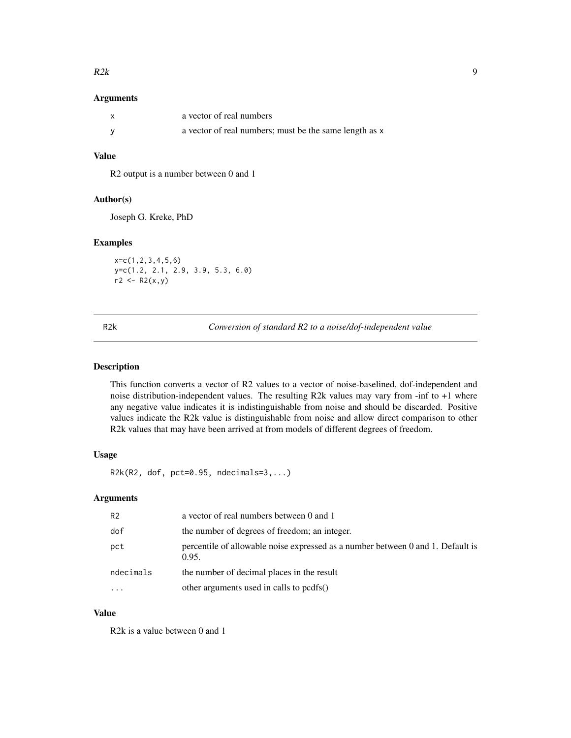#### <span id="page-8-0"></span> $R2k$  9

#### Arguments

| X | a vector of real numbers                               |
|---|--------------------------------------------------------|
|   | a vector of real numbers; must be the same length as x |

#### Value

R2 output is a number between 0 and 1

#### Author(s)

Joseph G. Kreke, PhD

#### Examples

x=c(1,2,3,4,5,6) y=c(1.2, 2.1, 2.9, 3.9, 5.3, 6.0)  $r2 < - R2(x, y)$ 

R2k *Conversion of standard R2 to a noise/dof-independent value*

#### Description

This function converts a vector of R2 values to a vector of noise-baselined, dof-independent and noise distribution-independent values. The resulting R2k values may vary from -inf to +1 where any negative value indicates it is indistinguishable from noise and should be discarded. Positive values indicate the R2k value is distinguishable from noise and allow direct comparison to other R2k values that may have been arrived at from models of different degrees of freedom.

#### Usage

 $R2k(R2, dof, pct=0.95, ndecimals=3,...)$ 

#### Arguments

| R <sub>2</sub> | a vector of real numbers between 0 and 1                                                 |
|----------------|------------------------------------------------------------------------------------------|
| dof            | the number of degrees of freedom; an integer.                                            |
| pct            | percentile of allowable noise expressed as a number between 0 and 1. Default is<br>0.95. |
| ndecimals      | the number of decimal places in the result                                               |
|                | other arguments used in calls to pcdfs()                                                 |

#### Value

R2k is a value between 0 and 1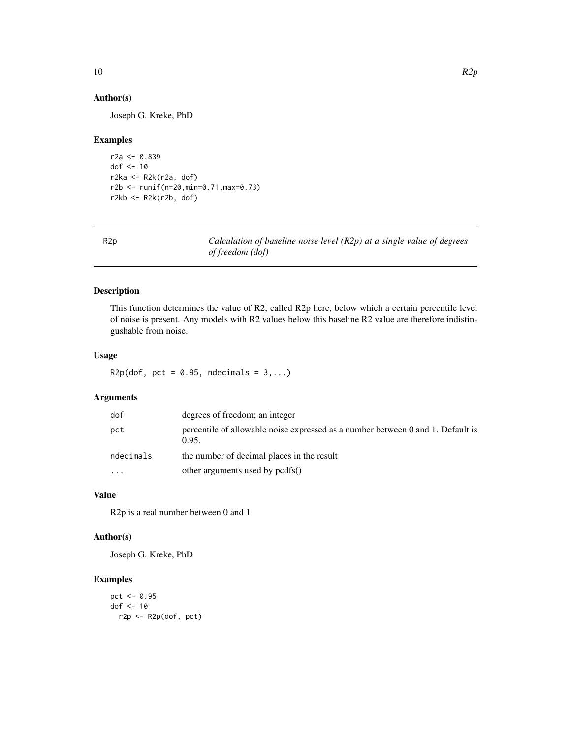#### Author(s)

Joseph G. Kreke, PhD

#### Examples

```
r2a <- 0.839
dof <- 10
r2ka \leftarrow R2k(r2a, dof)r2b <- runif(n=20,min=0.71,max=0.73)
r2kb <- R2k(r2b, dof)
```

R2p *Calculation of baseline noise level (R2p) at a single value of degrees of freedom (dof)*

#### Description

This function determines the value of R2, called R2p here, below which a certain percentile level of noise is present. Any models with R2 values below this baseline R2 value are therefore indistingushable from noise.

#### Usage

```
R2p(dof, pct = 0.95, ndecimals = 3,...)
```
#### Arguments

| dof       | degrees of freedom; an integer                                                           |
|-----------|------------------------------------------------------------------------------------------|
| pct       | percentile of allowable noise expressed as a number between 0 and 1. Default is<br>0.95. |
| ndecimals | the number of decimal places in the result                                               |
| $\cdots$  | other arguments used by pcdfs()                                                          |

#### Value

R2p is a real number between 0 and 1

#### Author(s)

Joseph G. Kreke, PhD

#### Examples

```
pct <- 0.95
dof <-10r2p <- R2p(dof, pct)
```
<span id="page-9-0"></span>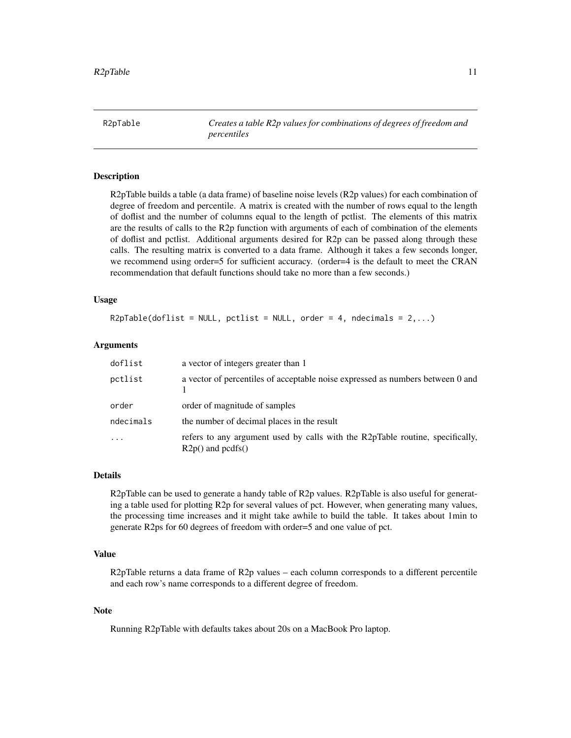<span id="page-10-0"></span>R2pTable *Creates a table R2p values for combinations of degrees of freedom and percentiles*

#### Description

R2pTable builds a table (a data frame) of baseline noise levels (R2p values) for each combination of degree of freedom and percentile. A matrix is created with the number of rows equal to the length of doflist and the number of columns equal to the length of pctlist. The elements of this matrix are the results of calls to the R2p function with arguments of each of combination of the elements of doflist and pctlist. Additional arguments desired for R2p can be passed along through these calls. The resulting matrix is converted to a data frame. Although it takes a few seconds longer, we recommend using order=5 for sufficient accuracy. (order=4 is the default to meet the CRAN recommendation that default functions should take no more than a few seconds.)

#### Usage

 $R2pTable(doflist = NULL, pctlist = NULL, order = 4, ndecimals = 2,...)$ 

#### **Arguments**

| doflist   | a vector of integers greater than 1                                                                     |
|-----------|---------------------------------------------------------------------------------------------------------|
| pctlist   | a vector of percentiles of acceptable noise expressed as numbers between 0 and                          |
| order     | order of magnitude of samples                                                                           |
| ndecimals | the number of decimal places in the result                                                              |
| $\ddotsc$ | refers to any argument used by calls with the R2pTable routine, specifically,<br>$R2p()$ and pcdfs $()$ |

#### Details

R2pTable can be used to generate a handy table of R2p values. R2pTable is also useful for generating a table used for plotting R2p for several values of pct. However, when generating many values, the processing time increases and it might take awhile to build the table. It takes about 1min to generate R2ps for 60 degrees of freedom with order=5 and one value of pct.

#### Value

R2pTable returns a data frame of R2p values – each column corresponds to a different percentile and each row's name corresponds to a different degree of freedom.

#### Note

Running R2pTable with defaults takes about 20s on a MacBook Pro laptop.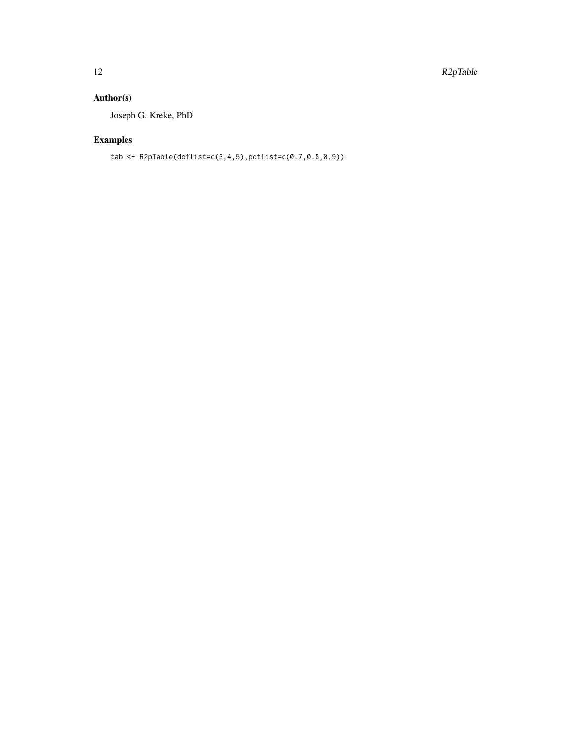#### Author(s)

Joseph G. Kreke, PhD

### Examples

tab <- R2pTable(doflist=c(3,4,5),pctlist=c(0.7,0.8,0.9))